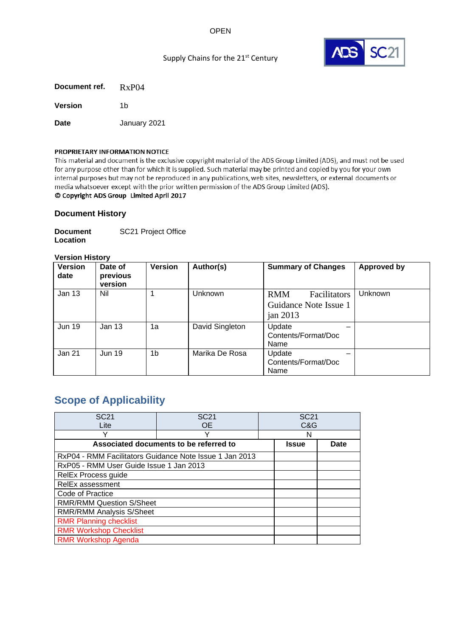## OPEN



## Supply Chains for the 21<sup>st</sup> Century

**Document ref.** RxP04 **Version** 1b **Date** January 2021

#### PROPRIETARY INFORMATION NOTICE

This material and document is the exclusive copyright material of the ADS Group Limited (ADS), and must not be used for any purpose other than for which it is supplied. Such material may be printed and copied by you for your own internal purposes but may not be reproduced in any publications, web sites, newsletters, or external documents or media whatsoever except with the prior written permission of the ADS Group Limited (ADS).

## © Copyright ADS Group Limited April 2017

#### **Document History**

**Document Location** SC21 Project Office

#### **Version History**

| <b>Version</b><br>date | Date of<br>previous<br>version | <b>Version</b> | Author(s)       | <b>Summary of Changes</b>                                         | <b>Approved by</b> |
|------------------------|--------------------------------|----------------|-----------------|-------------------------------------------------------------------|--------------------|
| Jan 13                 | Nil                            |                | Unknown         | <b>RMM</b><br>Facilitators<br>Guidance Note Issue 1<br>jan $2013$ | Unknown            |
| <b>Jun 19</b>          | Jan 13                         | 1a             | David Singleton | Update<br>Contents/Format/Doc<br>Name                             |                    |
| Jan 21                 | <b>Jun 19</b>                  | 1b             | Marika De Rosa  | Update<br>Contents/Format/Doc<br>Name                             |                    |

## **Scope of Applicability**

| <b>SC21</b>                             | <b>SC21</b>                                             |  | <b>SC21</b> |             |
|-----------------------------------------|---------------------------------------------------------|--|-------------|-------------|
| Lite                                    | <b>OE</b>                                               |  | C&G         |             |
| Υ                                       | v                                                       |  | N           |             |
|                                         | Associated documents to be referred to                  |  |             | <b>Date</b> |
|                                         | RxP04 - RMM Facilitators Guidance Note Issue 1 Jan 2013 |  |             |             |
| RxP05 - RMM User Guide Issue 1 Jan 2013 |                                                         |  |             |             |
| RelEx Process guide                     |                                                         |  |             |             |
| RelEx assessment                        |                                                         |  |             |             |
| Code of Practice                        |                                                         |  |             |             |
| <b>RMR/RMM Question S/Sheet</b>         |                                                         |  |             |             |
| <b>RMR/RMM Analysis S/Sheet</b>         |                                                         |  |             |             |
| <b>RMR Planning checklist</b>           |                                                         |  |             |             |
| <b>RMR Workshop Checklist</b>           |                                                         |  |             |             |
| <b>RMR Workshop Agenda</b>              |                                                         |  |             |             |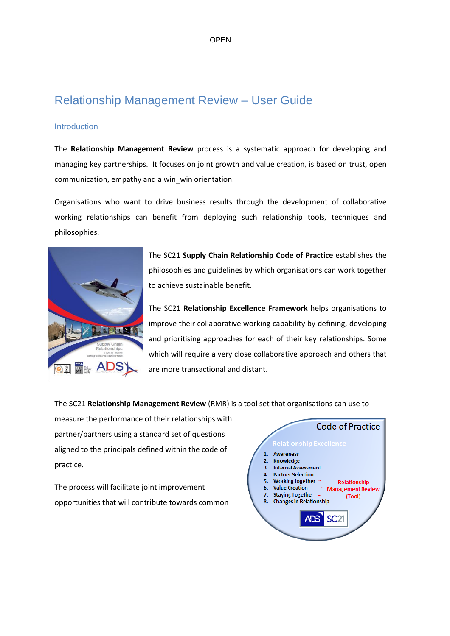# Relationship Management Review – User Guide

## **Introduction**

The **Relationship Management Review** process is a systematic approach for developing and managing key partnerships. It focuses on joint growth and value creation, is based on trust, open communication, empathy and a win\_win orientation.

Organisations who want to drive business results through the development of collaborative working relationships can benefit from deploying such relationship tools, techniques and philosophies.



The SC21 **Supply Chain Relationship Code of Practice** establishes the philosophies and guidelines by which organisations can work together to achieve sustainable benefit.

The SC21 **Relationship Excellence Framework** helps organisations to improve their collaborative working capability by defining, developing and prioritising approaches for each of their key relationships. Some which will require a very close collaborative approach and others that are more transactional and distant.

The SC21 **Relationship Management Review** (RMR) is a tool set that organisations can use to

measure the performance of their relationships with partner/partners using a standard set of questions aligned to the principals defined within the code of practice.

The process will facilitate joint improvement opportunities that will contribute towards common

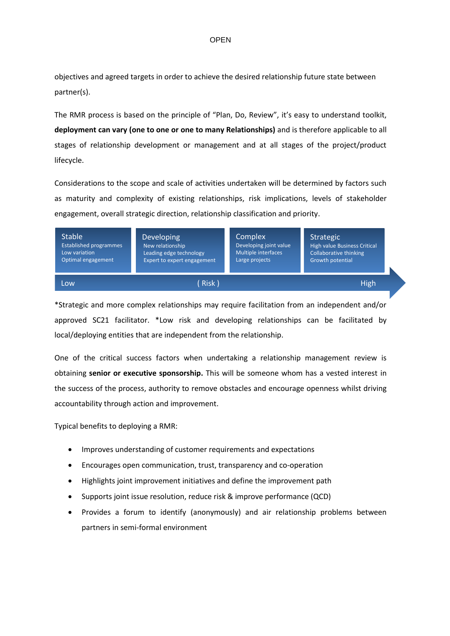objectives and agreed targets in order to achieve the desired relationship future state between partner(s).

The RMR process is based on the principle of "Plan, Do, Review", it's easy to understand toolkit, **deployment can vary (one to one or one to many Relationships)** and is therefore applicable to all stages of relationship development or management and at all stages of the project/product lifecycle.

Considerations to the scope and scale of activities undertaken will be determined by factors such as maturity and complexity of existing relationships, risk implications, levels of stakeholder engagement, overall strategic direction, relationship classification and priority.

| Stable <sup>1</sup>           | <b>Developing</b>           | Complex                | Strategic                     |  |
|-------------------------------|-----------------------------|------------------------|-------------------------------|--|
| <b>Established programmes</b> | New relationship            | Developing joint value | High value Business Critical  |  |
| Low variation                 | Leading edge technology     | Multiple interfaces    | <b>Collaborative thinking</b> |  |
| Optimal engagement            | Expert to expert engagement | Large projects         | Growth potential              |  |
| Low                           | (Risk)                      |                        | <b>High</b>                   |  |

\*Strategic and more complex relationships may require facilitation from an independent and/or approved SC21 facilitator. \*Low risk and developing relationships can be facilitated by local/deploying entities that are independent from the relationship.

One of the critical success factors when undertaking a relationship management review is obtaining **senior or executive sponsorship.** This will be someone whom has a vested interest in the success of the process, authority to remove obstacles and encourage openness whilst driving accountability through action and improvement.

Typical benefits to deploying a RMR:

- Improves understanding of customer requirements and expectations
- Encourages open communication, trust, transparency and co-operation
- Highlights joint improvement initiatives and define the improvement path
- Supports joint issue resolution, reduce risk & improve performance (QCD)
- Provides a forum to identify (anonymously) and air relationship problems between partners in semi-formal environment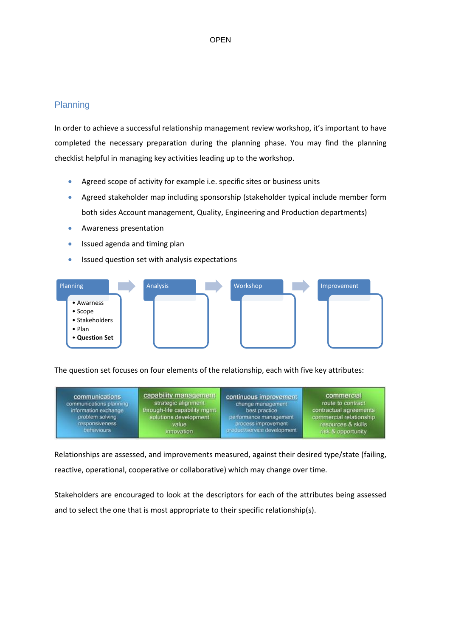## Planning

In order to achieve a successful relationship management review workshop, it's important to have completed the necessary preparation during the planning phase. You may find the planning checklist helpful in managing key activities leading up to the workshop.

- Agreed scope of activity for example i.e. specific sites or business units
- Agreed stakeholder map including sponsorship (stakeholder typical include member form both sides Account management, Quality, Engineering and Production departments)
- Awareness presentation
- Issued agenda and timing plan
- Issued question set with analysis expectations

| Planning                                                                    | Analysis | Workshop | Improvement |  |
|-----------------------------------------------------------------------------|----------|----------|-------------|--|
| • Awarness<br>• Scope<br>• Stakeholders<br>$\bullet$ Plan<br>• Question Set |          |          |             |  |

The question set focuses on four elements of the relationship, each with five key attributes:

| communications          | capability management        | continuous improvement      | commercial              |
|-------------------------|------------------------------|-----------------------------|-------------------------|
| communications planning | strategic alignment          | change management           | route to contract       |
| information exchange    | through-life capability mgmt | best practice               | contractual agreements  |
| problem solving         | solutions development        | performance management      | commercial relationship |
| responsiveness          | value                        | process improvement         | resources & skills      |
| behaviours              | innovation                   | product/service development | risk & opportunity      |

Relationships are assessed, and improvements measured, against their desired type/state (failing, reactive, operational, cooperative or collaborative) which may change over time.

Stakeholders are encouraged to look at the descriptors for each of the attributes being assessed and to select the one that is most appropriate to their specific relationship(s).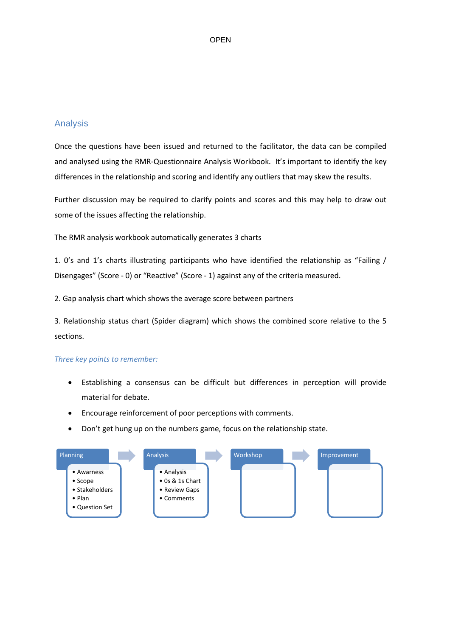### **OPEN**

## Analysis

Once the questions have been issued and returned to the facilitator, the data can be compiled and analysed using the RMR-Questionnaire Analysis Workbook. It's important to identify the key differences in the relationship and scoring and identify any outliers that may skew the results.

Further discussion may be required to clarify points and scores and this may help to draw out some of the issues affecting the relationship.

The RMR analysis workbook automatically generates 3 charts

1. 0's and 1's charts illustrating participants who have identified the relationship as "Failing / Disengages" (Score - 0) or "Reactive" (Score - 1) against any of the criteria measured.

2. Gap analysis chart which shows the average score between partners

3. Relationship status chart (Spider diagram) which shows the combined score relative to the 5 sections.

### *Three key points to remember:*

- Establishing a consensus can be difficult but differences in perception will provide material for debate.
- Encourage reinforcement of poor perceptions with comments.
- Don't get hung up on the numbers game, focus on the relationship state.

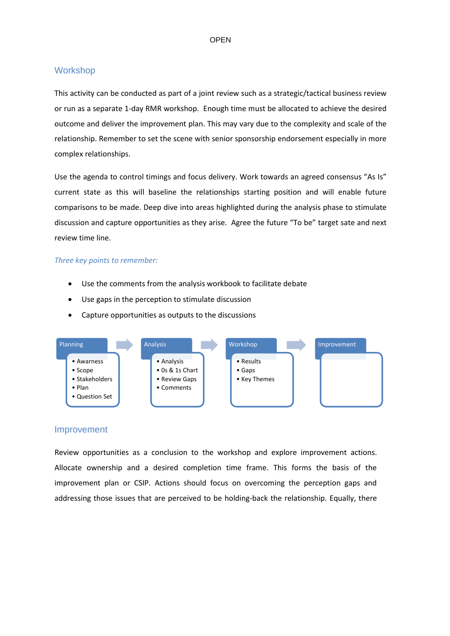## **Workshop**

This activity can be conducted as part of a joint review such as a strategic/tactical business review or run as a separate 1-day RMR workshop. Enough time must be allocated to achieve the desired outcome and deliver the improvement plan. This may vary due to the complexity and scale of the relationship. Remember to set the scene with senior sponsorship endorsement especially in more complex relationships.

Use the agenda to control timings and focus delivery. Work towards an agreed consensus "As Is" current state as this will baseline the relationships starting position and will enable future comparisons to be made. Deep dive into areas highlighted during the analysis phase to stimulate discussion and capture opportunities as they arise. Agree the future "To be" target sate and next review time line.

#### *Three key points to remember:*

- Use the comments from the analysis workbook to facilitate debate
- Use gaps in the perception to stimulate discussion
- Capture opportunities as outputs to the discussions



#### Improvement

Review opportunities as a conclusion to the workshop and explore improvement actions. Allocate ownership and a desired completion time frame. This forms the basis of the improvement plan or CSIP. Actions should focus on overcoming the perception gaps and addressing those issues that are perceived to be holding‐back the relationship. Equally, there